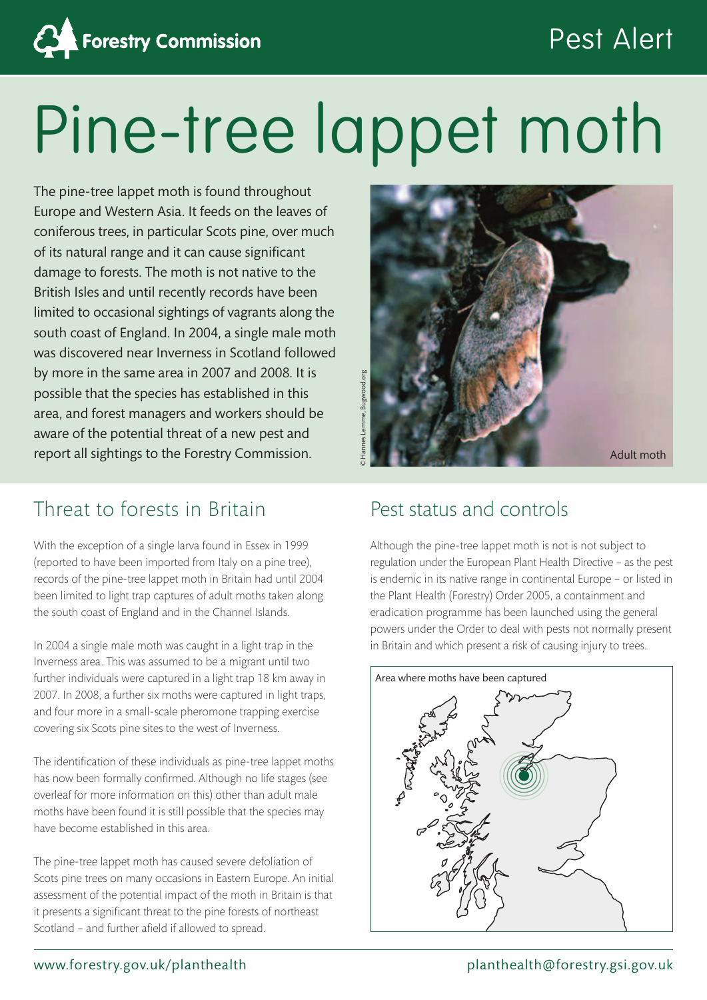

# Pest Alert

# Pine-tree lappet moth

The pine-tree lappet moth is found throughout Europe and Western Asia. It feeds on the leaves of coniferous trees, in particular Scots pine, over much of its natural range and it can cause significant damage to forests. The moth is not native to the British Isles and until recently records have been limited to occasional sightings of vagrants along the south coast of England. In 2004, a single male moth was discovered near Inverness in Scotland followed by more in the same area in 2007 and 2008. It is possible that the species has established in this area, and forest managers and workers should be aware of the potential threat of a new pest and report all sightings to the Forestry Commission.

## Threat to forests in Britain

With the exception of a single larva found in Essex in 1999 (reported to have been imported from Italy on a pine tree), records of the pine-tree lappet moth in Britain had until 2004 been limited to light trap captures of adult moths taken along the south coast of England and in the Channel Islands.

In 2004 a single male moth was caught in a light trap in the Inverness area. This was assumed to be a migrant until two further individuals were captured in a light trap 18 km away in 2007. In 2008, a further six moths were captured in light traps, and four more in a small-scale pheromone trapping exercise covering six Scots pine sites to the west of Inverness.

The identification of these individuals as pine-tree lappet moths has now been formally confirmed. Although no life stages (see overleaf for more information on this) other than adult male moths have been found it is still possible that the species may have become established in this area.

The pine-tree lappet moth has caused severe defoliation of Scots pine trees on many occasions in Eastern Europe. An initial assessment of the potential impact of the moth in Britain is that it presents a significant threat to the pine forests of northeast Scotland – and further afield if allowed to spread.



## Pest status and controls

Although the pine-tree lappet moth is not is not subject to regulation under the European Plant Health Directive – as the pest is endemic in its native range in continental Europe – or listed in the Plant Health (Forestry) Order 2005, a containment and eradication programme has been launched using the general powers under the Order to deal with pests not normally present in Britain and which present a risk of causing injury to trees.